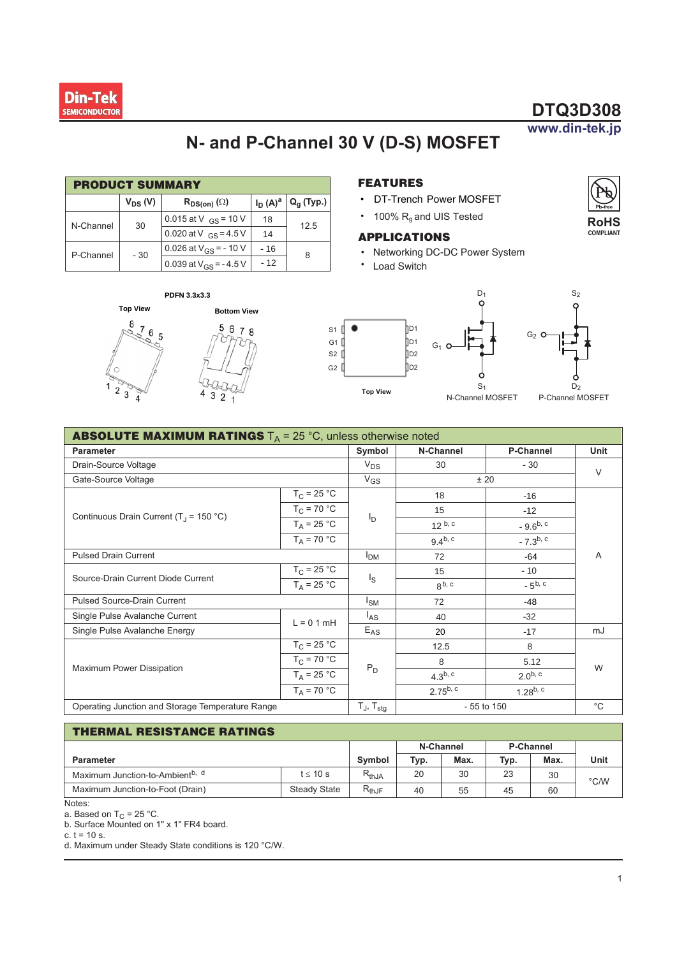

### www.din-tek.jp

**RoHS COMPLIANT** 

# N- and P-Channel 30 V (D-S) MOSFET

 $s_1$  $\bullet$ 

G1 $\Box$ 

 $s2$ 

 $G2$ 

| <b>PRODUCT SUMMARY</b> |              |                            |            |                |  |  |  |
|------------------------|--------------|----------------------------|------------|----------------|--|--|--|
|                        | $V_{DS} (V)$ | $R_{DS(on)}(\Omega)$       | $I_D(A)^a$ | $Q_{q}$ (Typ.) |  |  |  |
| N-Channel              | 30           | 0.015 at V $_{GS}$ = 10 V  | 18         | 12.5           |  |  |  |
|                        |              | 0.020 at V $_{GS}$ = 4.5 V | 14         |                |  |  |  |
| P-Channel              | $-30$        | 0.026 at $V_{GS}$ = -10 V  | $-16$      | 8              |  |  |  |
|                        |              | 0.039 at $V_{GS}$ = -4.5 V | $-12$      |                |  |  |  |

#### PDFN 3.3x3.3





#### **FEATURES**

- DT-Trench Power MOSFET
- 100%  $R_g$  and UIS Tested

#### **APPLICATIONS**

hD1

**D**1

]D2 .<br>∏D2

**Top View** 

- Networking DC-DC Power System
- $\bullet$ **Load Switch**



| <b>ABSOLUTE MAXIMUM RATINGS</b> $T_A = 25 \degree C$ , unless otherwise noted   |                          |                 |                   |               |        |  |  |
|---------------------------------------------------------------------------------|--------------------------|-----------------|-------------------|---------------|--------|--|--|
| <b>Parameter</b>                                                                | Symbol                   | N-Channel       | <b>P-Channel</b>  | Unit          |        |  |  |
| Drain-Source Voltage                                                            |                          | $V_{DS}$        | 30                | $-30$         | $\vee$ |  |  |
| Gate-Source Voltage                                                             | $V_{GS}$                 | ± 20            |                   |               |        |  |  |
|                                                                                 | $T_{\rm C}$ = 25 °C      |                 | 18                | $-16$         |        |  |  |
| Continuous Drain Current (T <sub>.1</sub> = 150 °C)                             | $T_{C}$ = 70 °C          |                 | 15                | $-12$         |        |  |  |
|                                                                                 | $T_A = 25 °C$            | I <sub>D</sub>  | $12^{b, c}$       | $-9.6^{b, c}$ |        |  |  |
|                                                                                 | $T_A = 70 °C$            |                 | $9.4^{b, c}$      | $-7.3^{b, c}$ |        |  |  |
| <b>Pulsed Drain Current</b>                                                     | I <sub>DM</sub>          | 72              | $-64$             | Α             |        |  |  |
| Source-Drain Current Diode Current                                              | $T_C = 25 °C$            |                 | 15                | $-10$         |        |  |  |
|                                                                                 | $T_A = 25 °C$            | $I_{\rm S}$     | 8 <sup>b, c</sup> | $-5^{b, c}$   |        |  |  |
| <b>Pulsed Source-Drain Current</b>                                              | $I_{SM}$                 | 72              | -48               |               |        |  |  |
| Single Pulse Avalanche Current<br>$L = 0.1$ mH<br>Single Pulse Avalanche Energy |                          | l <sub>AS</sub> | 40                | $-32$         |        |  |  |
|                                                                                 |                          | $E_{AS}$        | 20                | $-17$         | mJ     |  |  |
|                                                                                 | $T_{C}$ = 25 °C          |                 | 12.5              | 8             | W      |  |  |
|                                                                                 | $T_C = 70 °C$            |                 | 8                 | 5.12          |        |  |  |
| Maximum Power Dissipation                                                       | $T_A$ = 25 °C            | $P_D$           | $4.3^{b, c}$      | $2.0^{b, c}$  |        |  |  |
|                                                                                 | $T_A$ = 70 °C            |                 | $2.75^{b, c}$     | $1.28^{b, c}$ |        |  |  |
| Operating Junction and Storage Temperature Range                                | $T_J$ , $T_{\text{stg}}$ |                 | $-55$ to 150      | $^{\circ}C$   |        |  |  |

#### THERMAL RESISTANCE RATINGS

|                                             |                     |                                   | N-Channel |      | P-Channel |      |      |  |
|---------------------------------------------|---------------------|-----------------------------------|-----------|------|-----------|------|------|--|
| <b>Parameter</b>                            |                     |                                   | Typ.      | Max. | Typ.      | Max. | Unit |  |
| Maximum Junction-to-Ambient <sup>b, d</sup> | $t \leq 10$ s       | $R_{thJA}$                        | 20        | 30   | 23        | 30   | °C/W |  |
| Maximum Junction-to-Foot (Drain)            | <b>Steady State</b> | D<br>$\mathsf{r}_{\mathsf{thJF}}$ | 40        | 55   | 45        | 60   |      |  |

Notes:

a. Based on  $T_C = 25$  °C.

b. Surface Mounted on 1" x 1" FR4 board.

c.  $t = 10$  s.

d. Maximum under Steady State conditions is 120 °C/W.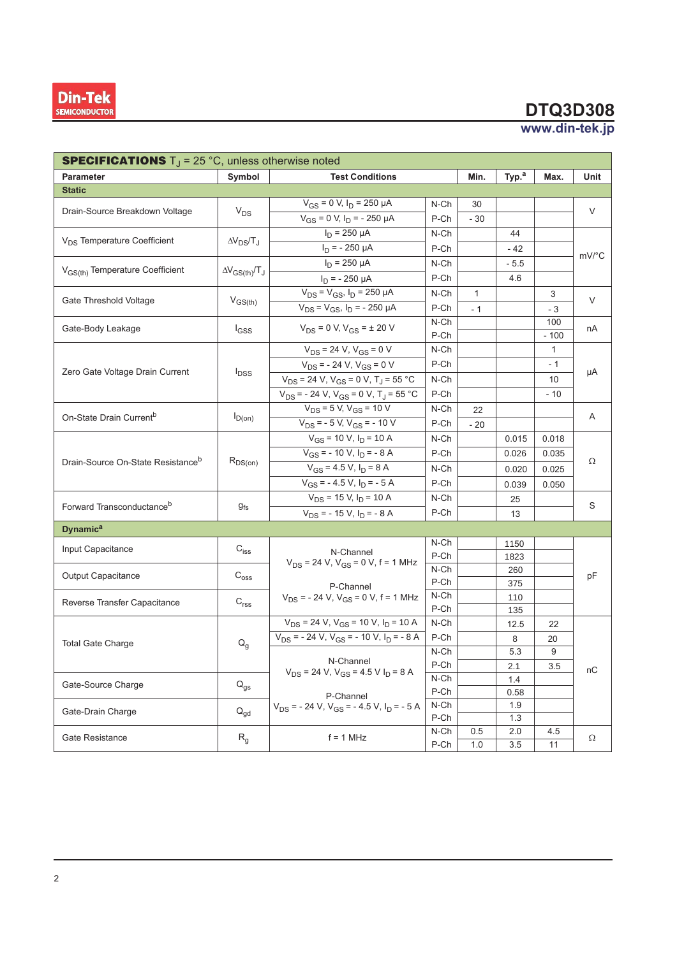

| <b>SPECIFICATIONS</b> $T_{J}$ = 25 °C, unless otherwise noted |                                                          |                                                                     |              |              |                   |              |       |  |
|---------------------------------------------------------------|----------------------------------------------------------|---------------------------------------------------------------------|--------------|--------------|-------------------|--------------|-------|--|
| Parameter                                                     | Symbol                                                   | <b>Test Conditions</b>                                              |              | Min.         | Typ. <sup>a</sup> | Max.         | Unit  |  |
| <b>Static</b>                                                 |                                                          |                                                                     |              |              |                   |              |       |  |
| Drain-Source Breakdown Voltage                                | $V_{DS}$                                                 | $V_{GS}$ = 0 V, $I_D$ = 250 µA                                      | N-Ch         | 30           |                   |              | V     |  |
|                                                               |                                                          | $V_{GS}$ = 0 V, $I_D$ = - 250 µA                                    | P-Ch         | - 30         |                   |              |       |  |
| V <sub>DS</sub> Temperature Coefficient                       | $\Delta V_{DS}/T_J$                                      | $I_D$ = 250 µA                                                      | N-Ch         |              | 44                |              |       |  |
|                                                               |                                                          | $I_D$ = - 250 µA                                                    | P-Ch         |              | - 42              |              |       |  |
|                                                               |                                                          | $I_D$ = 250 µA                                                      | N-Ch         |              | $-5.5$            |              | mV/°C |  |
| V <sub>GS(th)</sub> Temperature Coefficient                   | $\Delta V_{GS(th)}/T_J$                                  | $I_D$ = - 250 µA                                                    | P-Ch         |              | 4.6               |              |       |  |
|                                                               |                                                          | $V_{DS} = V_{GS}$ , $I_D = 250 \mu A$                               | N-Ch         | $\mathbf{1}$ |                   | 3            |       |  |
| Gate Threshold Voltage                                        | $V_{GS(th)}$                                             | $V_{DS} = V_{GS}$ , $I_D = -250 \mu A$                              | P-Ch         | $-1$         |                   | $-3$         | V     |  |
| Gate-Body Leakage                                             | $I_{GSS}$                                                | $V_{DS} = 0$ V, $V_{GS} = \pm 20$ V                                 | N-Ch         |              |                   | 100          | nA    |  |
|                                                               |                                                          |                                                                     | P-Ch         |              |                   | $-100$       |       |  |
|                                                               |                                                          | $V_{DS}$ = 24 V, $V_{GS}$ = 0 V                                     | N-Ch         |              |                   | $\mathbf{1}$ |       |  |
|                                                               |                                                          | $V_{DS}$ = - 24 V, V <sub>GS</sub> = 0 V                            | P-Ch         |              |                   | $-1$         | μA    |  |
| Zero Gate Voltage Drain Current                               | <sup>l</sup> DSS                                         | $V_{DS}$ = 24 V, $V_{GS}$ = 0 V, T <sub>J</sub> = 55 °C             | N-Ch         |              |                   | 10           |       |  |
|                                                               |                                                          | $V_{DS}$ = - 24 V, V <sub>GS</sub> = 0 V, T <sub>J</sub> = 55 °C    | P-Ch         |              |                   | $-10$        |       |  |
|                                                               |                                                          | $V_{DS} = 5 V, V_{GS} = 10 V$                                       | N-Ch         | 22           |                   |              | Α     |  |
| On-State Drain Current <sup>b</sup>                           | $I_{D(0n)}$                                              | $V_{DS}$ = - 5 V, V <sub>GS</sub> = - 10 V                          | P-Ch         | $-20$        |                   |              |       |  |
|                                                               | $R_{DS(on)}$                                             | $V_{GS}$ = 10 V, $I_D$ = 10 A                                       | N-Ch         |              | 0.015             | 0.018        | Ω     |  |
|                                                               |                                                          | $V_{GS}$ = - 10 V, $I_D$ = - 8 A                                    | P-Ch         |              | 0.026             | 0.035        |       |  |
| Drain-Source On-State Resistance <sup>b</sup>                 |                                                          | $V_{GS}$ = 4.5 V, $I_D$ = 8 A                                       | N-Ch         |              | 0.020             | 0.025        |       |  |
|                                                               |                                                          | $V_{GS}$ = - 4.5 V, $I_D$ = - 5 A                                   | P-Ch         |              | 0.039             | 0.050        |       |  |
|                                                               | $g_{fs}$                                                 | $V_{DS}$ = 15 V, $I_D$ = 10 A                                       | N-Ch         |              | 25                |              |       |  |
| Forward Transconductance <sup>b</sup>                         |                                                          | $V_{DS}$ = - 15 V, $I_D$ = - 8 A                                    | P-Ch         |              | 13                |              | S     |  |
| <b>Dynamic<sup>a</sup></b>                                    |                                                          |                                                                     |              |              |                   |              |       |  |
| Input Capacitance                                             | $C_{iss}$                                                |                                                                     | N-Ch         |              | 1150              |              |       |  |
|                                                               |                                                          | N-Channel<br>$V_{DS}$ = 24 V, $V_{GS}$ = 0 V, f = 1 MHz             | P-Ch         |              | 1823              |              |       |  |
| Output Capacitance                                            | $\mathsf{C}_{\text{oss}}$                                | N-Ch                                                                |              |              | 260               |              | рF    |  |
|                                                               |                                                          | P-Channel                                                           | P-Ch         |              | 375               |              |       |  |
| Reverse Transfer Capacitance                                  | C <sub>rss</sub>                                         | $V_{DS}$ = - 24 V, $V_{GS}$ = 0 V, f = 1 MHz                        | N-Ch         |              | 110               |              |       |  |
|                                                               |                                                          |                                                                     | P-Ch         |              | 135               |              |       |  |
|                                                               |                                                          | $V_{DS}$ = 24 V, V <sub>GS</sub> = 10 V, I <sub>D</sub> = 10 A      | N-Ch         |              | 12.5              | 22           |       |  |
| <b>Total Gate Charge</b>                                      | $Q_g$                                                    | $V_{DS}$ = - 24 V, $V_{GS}$ = - 10 V, $I_D$ = - 8 A                 | P-Ch         |              | 8<br>20           |              |       |  |
|                                                               |                                                          |                                                                     | N-Ch         |              | 5.3               | 9            | nC    |  |
|                                                               |                                                          | N-Channel<br>$V_{DS}$ = 24 V, $V_{GS}$ = 4.5 V I <sub>D</sub> = 8 A | P-Ch         |              | 2.1               | 3.5          |       |  |
| Gate-Source Charge                                            | $Q_{gs}$<br>$\mathsf{Q}_{\mathsf{gd}}$<br>R <sub>g</sub> |                                                                     | N-Ch         |              | 1.4               |              |       |  |
|                                                               |                                                          | P-Channel                                                           | P-Ch<br>N-Ch |              | 0.58              |              |       |  |
| Gate-Drain Charge                                             |                                                          | $V_{DS}$ = - 24 V, $V_{GS}$ = - 4.5 V, $I_D$ = - 5 A                |              |              | 1.9               |              |       |  |
|                                                               |                                                          |                                                                     | P-Ch<br>N-Ch |              | 1.3               |              |       |  |
| Gate Resistance                                               |                                                          | $f = 1$ MHz                                                         |              | 0.5          | 2.0               | 4.5          | Ω     |  |
|                                                               |                                                          | P-Ch                                                                |              | 1.0          | 3.5               | 11           |       |  |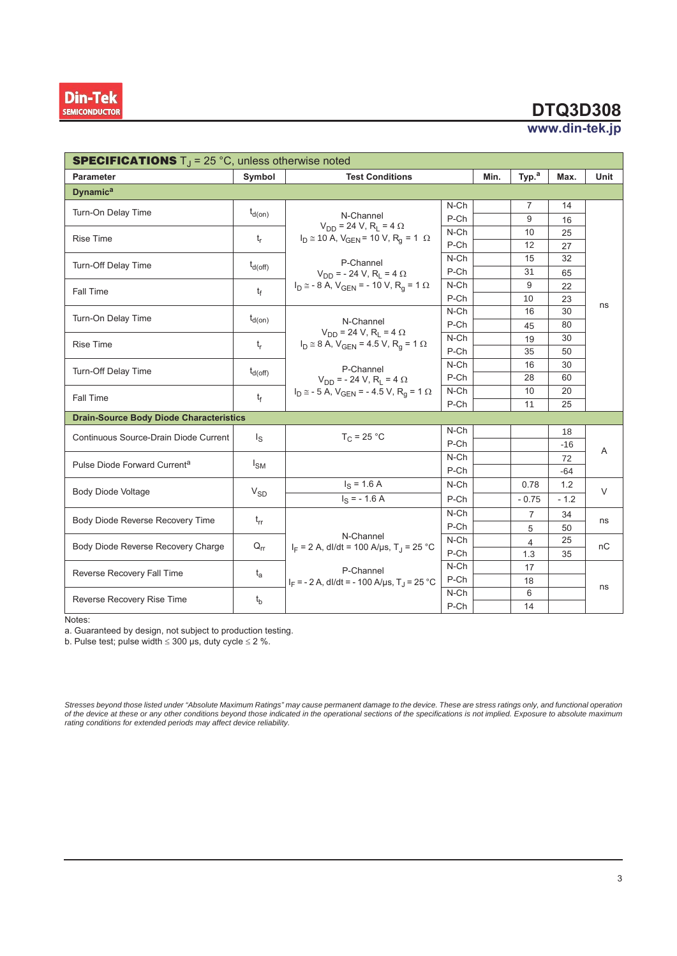

#### www.din-tek.jp

| <b>SPECIFICATIONS</b> $T_J = 25$ °C, unless otherwise noted |                     |                                                                    |                 |         |                   |        |        |  |  |
|-------------------------------------------------------------|---------------------|--------------------------------------------------------------------|-----------------|---------|-------------------|--------|--------|--|--|
| <b>Parameter</b>                                            | Symbol              | <b>Test Conditions</b>                                             |                 |         | Typ. <sup>a</sup> | Max.   | Unit   |  |  |
| <b>Dynamic<sup>a</sup></b>                                  |                     |                                                                    |                 |         |                   |        |        |  |  |
| Turn-On Delay Time                                          | $t_{d(on)}$         |                                                                    | $N$ -Ch         |         | $\overline{7}$    | 14     |        |  |  |
|                                                             |                     | N-Channel<br>$V_{DD}$ = 24 V, R <sub>L</sub> = 4 $\Omega$          | P-Ch            |         | 9                 | 16     |        |  |  |
| <b>Rise Time</b>                                            | $t_r$               | $I_D \cong 10$ A, $V_{GEN} = 10$ V, $R_q = 1$ $\Omega$             | $N$ -Ch         |         | 10                | 25     |        |  |  |
|                                                             |                     |                                                                    | P-Ch<br>$N$ -Ch |         | 12                | 27     |        |  |  |
| Turn-Off Delay Time                                         | $t_{d(Off)}$        | P-Channel                                                          |                 | 15      | 32                |        |        |  |  |
|                                                             |                     | $V_{DD}$ = - 24 V, R <sub>1</sub> = 4 $\Omega$                     | P-Ch            |         | 31                | 65     | ns     |  |  |
| <b>Fall Time</b>                                            | t <sub>f</sub>      | $I_D \cong -8$ A, $V_{GEN} = -10$ V, $R_q = 1$ $\Omega$            | $N$ -Ch         |         | 9                 | 22     |        |  |  |
|                                                             |                     |                                                                    | P-Ch            |         | 10                | 23     |        |  |  |
| Turn-On Delay Time                                          | $t_{d(0n)}$         |                                                                    | $N$ -Ch         |         | 16                | 30     |        |  |  |
|                                                             |                     | N-Channel<br>$V_{DD}$ = 24 V, R <sub>i</sub> = 4 $\Omega$          | P-Ch            |         | 45                | 80     |        |  |  |
| <b>Rise Time</b>                                            | $t_{r}$             | $I_D \cong 8$ A, $V_{GEN} = 4.5$ V, R <sub>a</sub> = 1 $\Omega$    | $N$ -Ch         |         | 19                | 30     |        |  |  |
|                                                             |                     |                                                                    | P-Ch            |         | 35                | 50     |        |  |  |
| Turn-Off Delay Time                                         | $t_{d(\text{off})}$ | P-Channel                                                          | $N$ -Ch         |         | 16                | 30     |        |  |  |
|                                                             |                     | $V_{DD}$ = - 24 V, R <sub>L</sub> = 4 $\Omega$                     | P-Ch            |         | 28                | 60     |        |  |  |
| <b>Fall Time</b>                                            | $t_{\rm f}$         | $I_D \approx -5$ A, $V_{GEN} = -4.5$ V, $R_q = 1$ $\Omega$         | N-Ch            |         | 10                | 20     |        |  |  |
|                                                             |                     |                                                                    | P-Ch            |         | 11                | 25     |        |  |  |
| <b>Drain-Source Body Diode Characteristics</b>              |                     |                                                                    |                 |         |                   |        |        |  |  |
| Continuous Source-Drain Diode Current                       | $\lg$               | $T_C = 25 °C$                                                      | $N$ -Ch         |         |                   | 18     | A      |  |  |
|                                                             |                     |                                                                    | P-Ch            |         |                   | $-16$  |        |  |  |
| Pulse Diode Forward Current <sup>a</sup>                    | $I_{SM}$            |                                                                    | $N$ -Ch         |         |                   | 72     |        |  |  |
|                                                             |                     |                                                                    | P-Ch            |         |                   | $-64$  |        |  |  |
| <b>Body Diode Voltage</b>                                   | $V_{SD}$            | $I_S = 1.6 A$                                                      | $N$ -Ch         |         | 0.78              | 1.2    | $\vee$ |  |  |
|                                                             |                     | $I_S = -1.6 A$                                                     | P-Ch            | $-0.75$ |                   | $-1.2$ |        |  |  |
| Body Diode Reverse Recovery Time                            | $t_{rr}$            |                                                                    | $N$ -Ch         |         | $\overline{7}$    | 34     | ns     |  |  |
|                                                             |                     | P-Ch                                                               |                 |         | 5                 | 50     |        |  |  |
| Body Diode Reverse Recovery Charge                          | $Q_{rr}$            | N-Channel<br>$I_F = 2$ A, dl/dt = 100 A/µs, T <sub>J</sub> = 25 °C | $N$ -Ch         |         | 4                 | 25     | nC     |  |  |
|                                                             |                     |                                                                    | P-Ch            |         | 1.3               | 35     |        |  |  |
| Reverse Recovery Fall Time                                  | $t_{a}$             | P-Channel                                                          | $N$ -Ch         |         | 17                |        |        |  |  |
|                                                             |                     | $I_F = -2 A$ , dl/dt = -100 A/ $\mu$ s, T <sub>.1</sub> = 25 °C    | P-Ch            |         | 18                |        | ns     |  |  |
| Reverse Recovery Rise Time                                  |                     |                                                                    | $N$ -Ch         |         | 6                 |        |        |  |  |
|                                                             | $t_{b}$             |                                                                    | P-Ch            |         | 14                |        |        |  |  |

Notes:

a. Guaranteed by design, not subject to production testing.

b. Pulse test, pulse width  $\leq 300$  µs, duty cycle  $\leq 2$  %.

Stresses beyond those listed under "Absolute Maximum Ratings" may cause permanent damage to the device. These are stress ratings only, and functional operatior<br>of the device at these or any other conditions beyond those in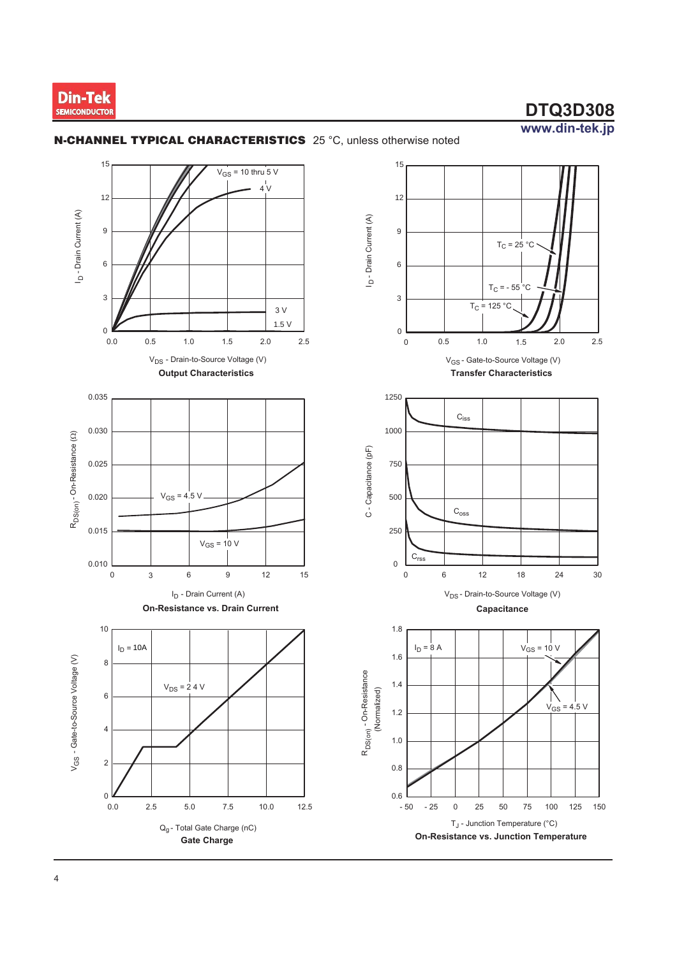

 $2.0$ 

 $24$ 

 $V_{GS}$  = 10 V

 $\mathbb{N}$  $V_{GS}$  = 4.5 V

100

75

125 150

30

 $2.5$ 

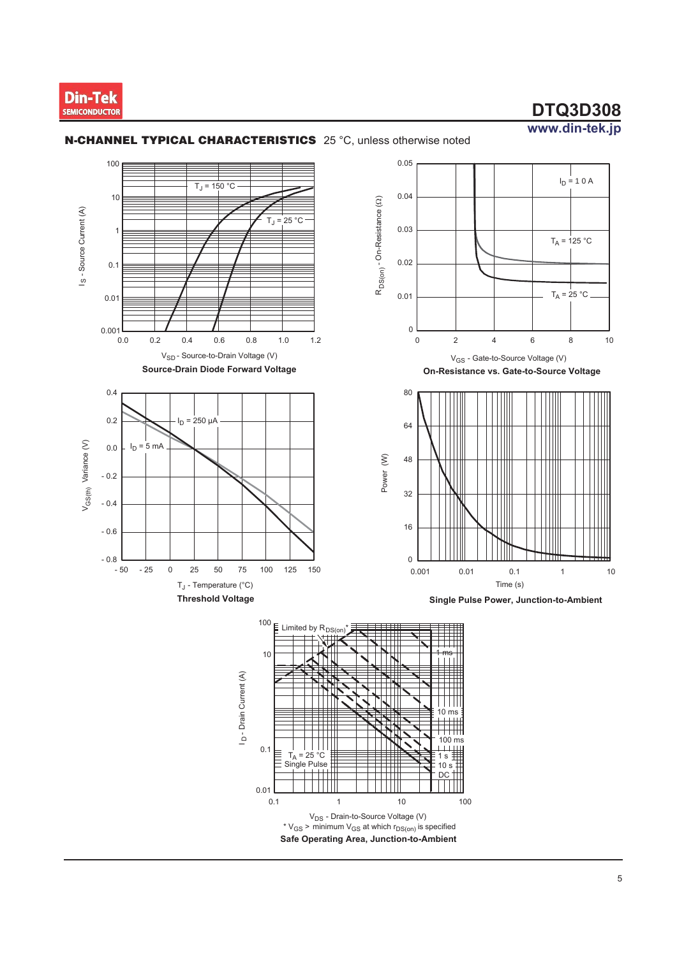

 $I_D = 10A$ 

 $T_A = 125 °C$ 

 $T_A = 25 °C$ 

 $\,8\,$ 

 $10$ 

 $10$ 

 $\,6\,$ 

 $0.1$ 

 $10<sub>s</sub>$ 

**DC** 

100

 $10$ 

 $\overline{1}$ 



Single Pulse

 $0.01$  $0.1$   $^{\rm{++}}$ 

 $\overline{1}$ 

V<sub>DS</sub> - Drain-to-Source Voltage (V) \*  $V_{GS}$  > minimum  $V_{GS}$  at which  $r_{DS(0n)}$  is specified Safe Operating Area, Junction-to-Ambient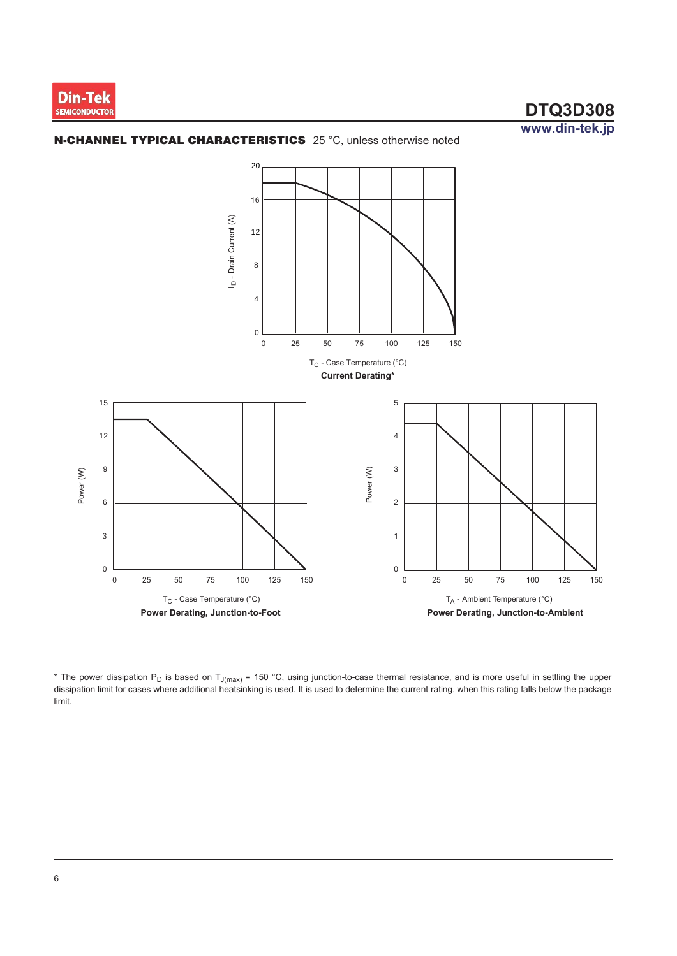



\* The power dissipation  $P_D$  is based on  $T_{J(max)}$  = 150 °C, using junction-to-case thermal resistance, and is more useful in settling the upper dissipation limit for cases where additional heatsinking is used. It is used t limit.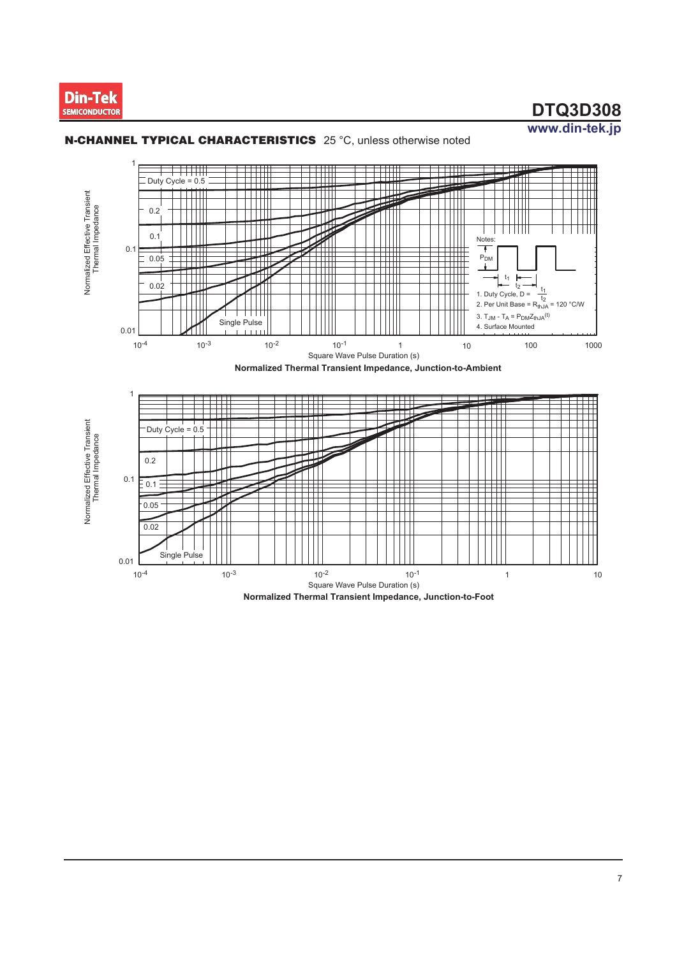



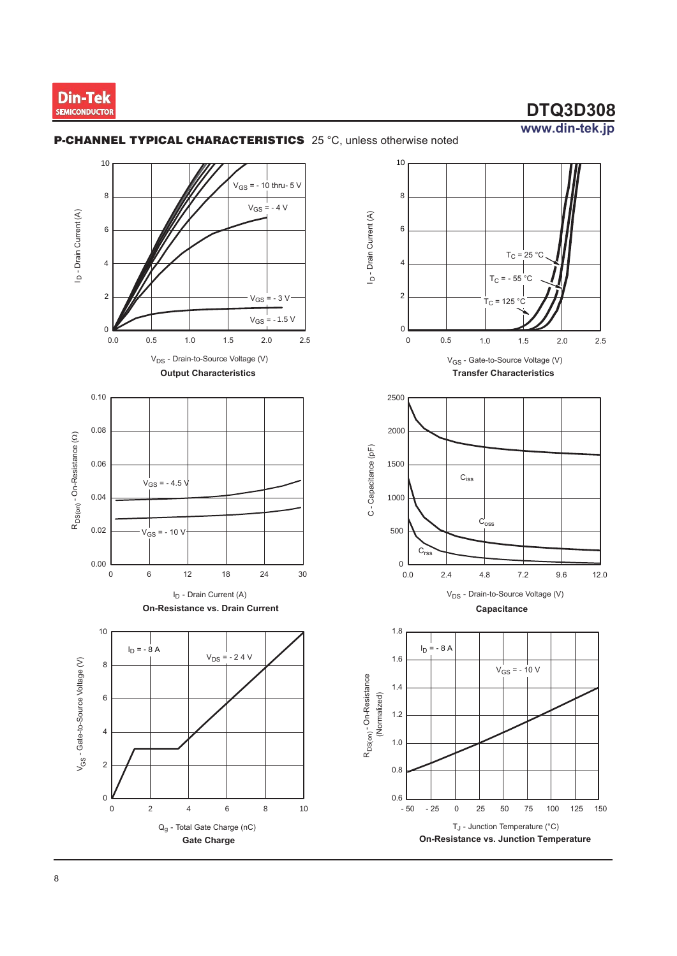

 $2.0$ 

 $9.6$ 

100

125 150

 $12.0$ 

 $2.5$ 

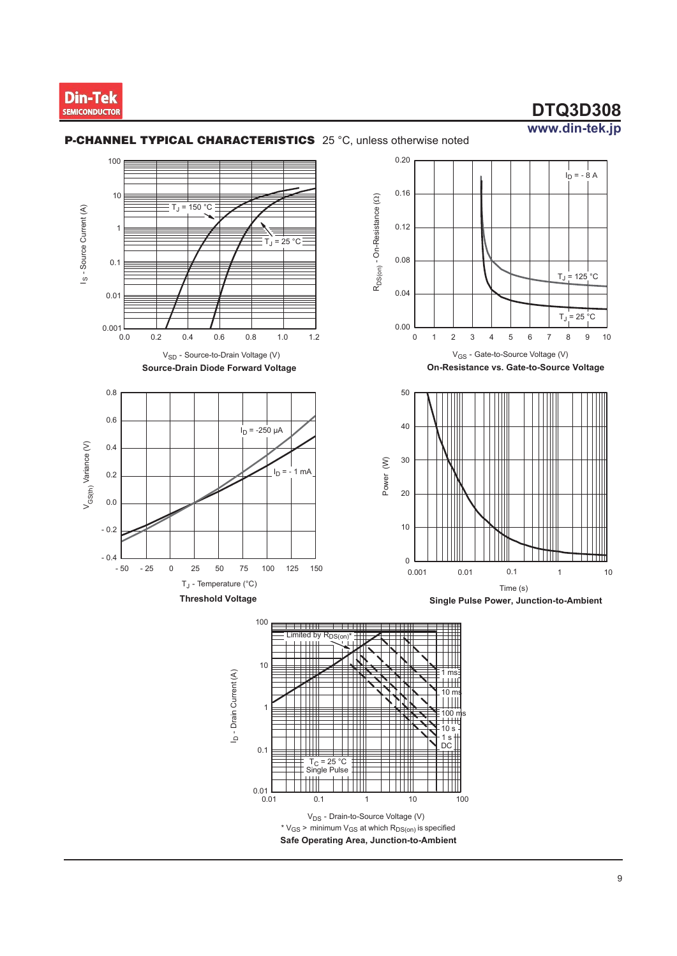

#### P-CHANNEL TYPICAL CHARACTERISTICS 25 °C, unless otherwise noted





On-Resistance vs. Gate-to-Source Voltage







 $\overline{9}$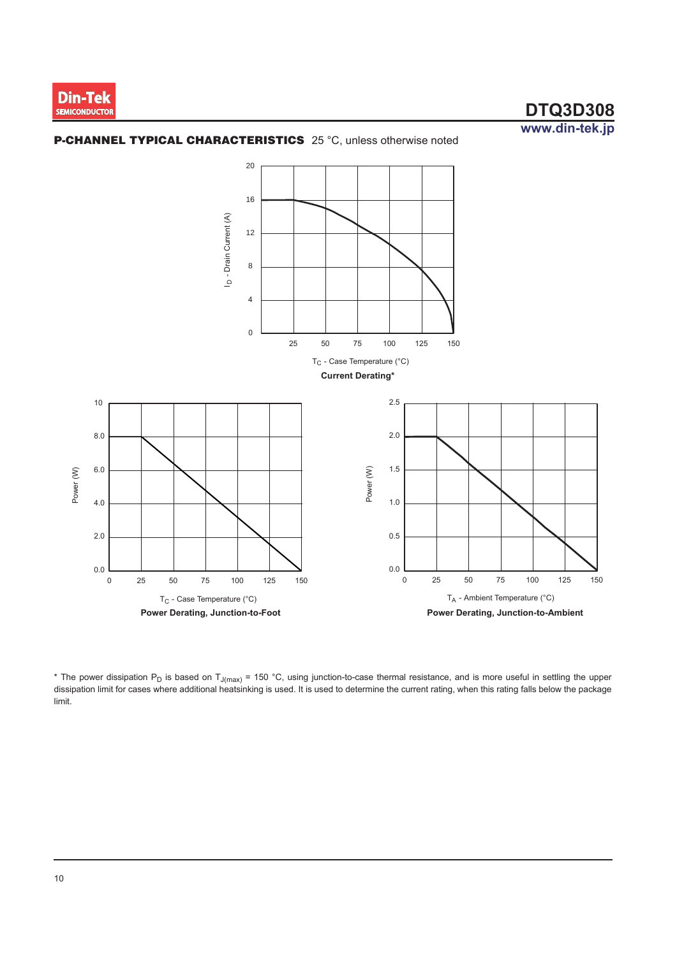



\* The power dissipation P<sub>D</sub> is based on T<sub>J(max)</sub> = 150 °C, using junction-to-case thermal resistance, and is more useful in settling the upper dissipation limit for cases where additional heatsinking is used. It is used to determine the current rating, when this rating falls below the package limit.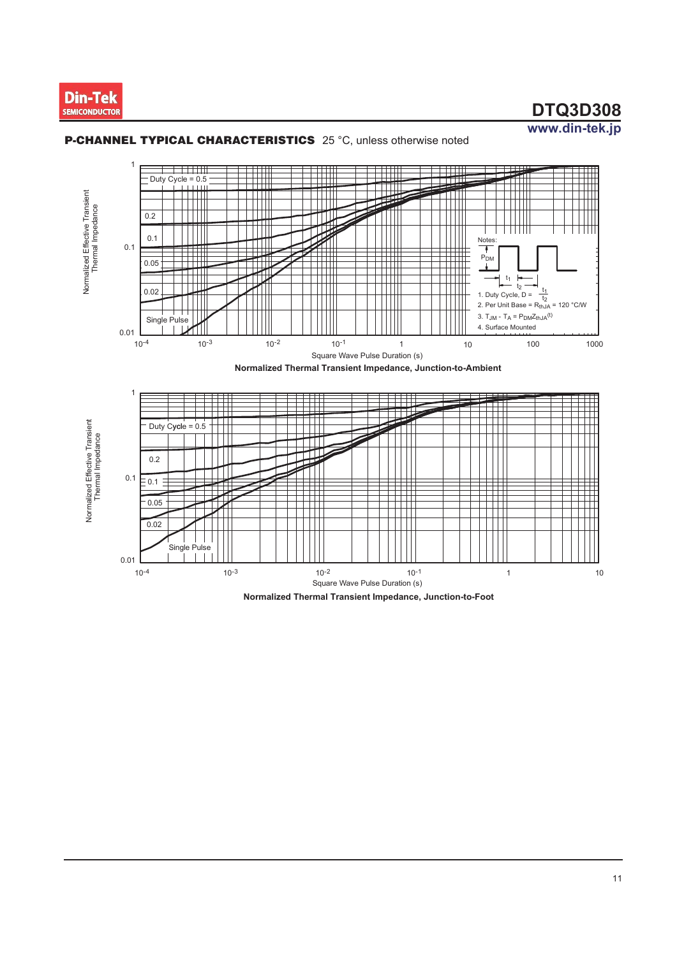





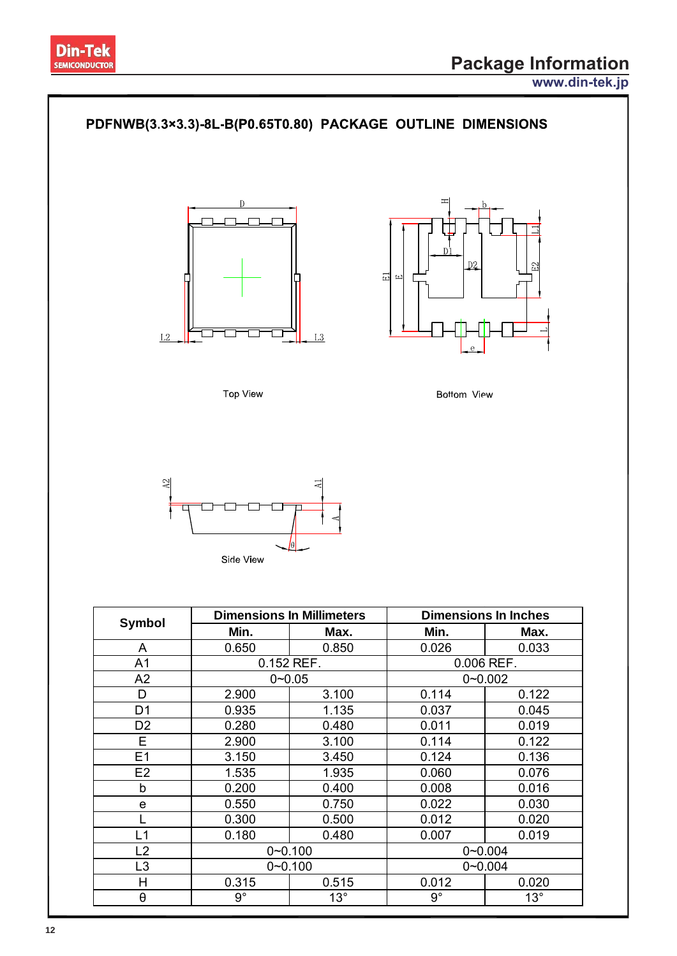





|                | Min.        | Max.        | Min.        | Max.        |  |
|----------------|-------------|-------------|-------------|-------------|--|
| A              | 0.650       | 0.850       | 0.026       | 0.033       |  |
| A <sub>1</sub> |             | 0.152 REF.  | 0.006 REF.  |             |  |
| A2             |             | $0 - 0.05$  | $0 - 0.002$ |             |  |
| D              | 2.900       | 3.100       | 0.114       | 0.122       |  |
| D <sub>1</sub> | 0.935       | 1.135       | 0.037       | 0.045       |  |
| D <sub>2</sub> | 0.280       | 0.480       | 0.011       | 0.019       |  |
| E.             | 2.900       | 3.100       | 0.114       | 0.122       |  |
| E1             | 3.150       | 3.450       | 0.124       | 0.136       |  |
| E <sub>2</sub> | 1.535       | 1.935       | 0.060       | 0.076       |  |
| b              | 0.200       | 0.400       | 0.008       | 0.016       |  |
| e              | 0.550       | 0.750       | 0.022       | 0.030       |  |
|                | 0.300       | 0.500       | 0.012       | 0.020       |  |
| L1             | 0.180       | 0.480       | 0.007       | 0.019       |  |
| L2             |             | $0 - 0.100$ | $0 - 0.004$ |             |  |
| L <sub>3</sub> | $0 - 0.100$ |             |             | $0 - 0.004$ |  |
| H              | 0.315       | 0.515       | 0.012       | 0.020       |  |
| θ              | $9^{\circ}$ | $13^\circ$  | $9^{\circ}$ | $13^\circ$  |  |
|                |             |             |             |             |  |